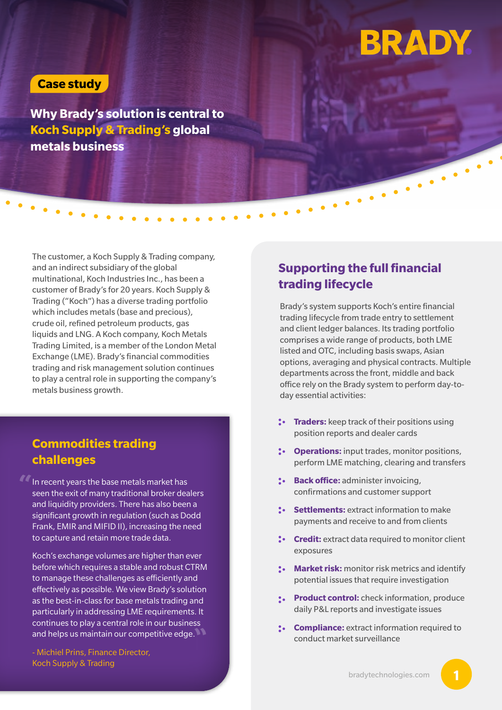# **BRADY**

#### **Case study**

**Why Brady's solution is central to Koch Supply & Trading's global metals business**

The customer, a Koch Supply & Trading company, and an indirect subsidiary of the global multinational, Koch Industries Inc., has been a customer of Brady's for 20 years. Koch Supply & Trading ("Koch") has a diverse trading portfolio which includes metals (base and precious), crude oil, refined petroleum products, gas liquids and LNG. A Koch company, Koch Metals Trading Limited, is a member of the London Metal Exchange (LME). Brady's financial commodities trading and risk management solution continues to play a central role in supporting the company's metals business growth.

### **Commodities trading challenges**

In recent years the base metals market has seen the exit of many traditional broker dealers and liquidity providers. There has also been a significant growth in regulation (such as Dodd Frank, EMIR and MIFID II), increasing the need to capture and retain more trade data. **"**

Koch's exchange volumes are higher than ever before which requires a stable and robust CTRM to manage these challenges as efficiently and effectively as possible. We view Brady's solution as the best-in-class for base metals trading and particularly in addressing LME requirements. It continues to play a central role in our business and helps us maintain our competitive edge. **"**

- Michiel Prins, Finance Director, Koch Supply & Trading

### **Supporting the full financial trading lifecycle**

Brady's system supports Koch's entire financial trading lifecycle from trade entry to settlement and client ledger balances. Its trading portfolio comprises a wide range of products, both LME listed and OTC, including basis swaps, Asian options, averaging and physical contracts. Multiple departments across the front, middle and back office rely on the Brady system to perform day-today essential activities:

**Traders:** keep track of their positions using position reports and dealer cards

**Operations:** input trades, monitor positions, perform LME matching, clearing and transfers

**Back office:** administer invoicing, confirmations and customer support

**Settlements: extract information to make** payments and receive to and from clients

**Credit:** extract data required to monitor client exposures

**Market risk:** monitor risk metrics and identify potential issues that require investigation

**Product control:** check information, produce daily P&L reports and investigate issues

**Compliance:** extract information required to conduct market surveillance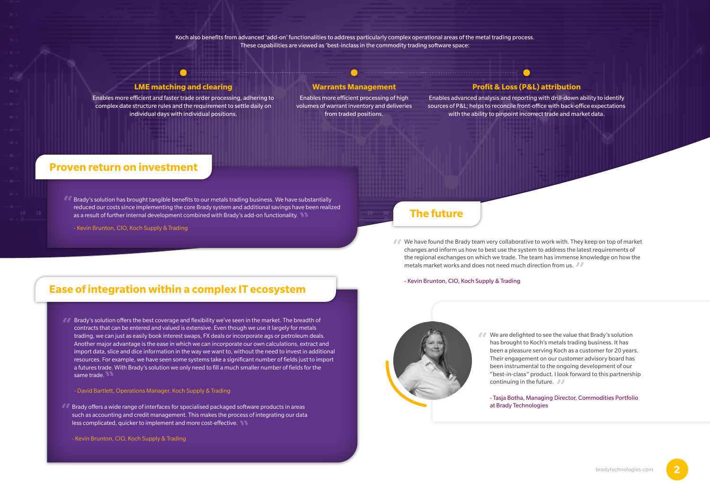

Koch also benefits from advanced 'add-on' functionalities to address particularly complex operational areas of the metal trading process. These capabilities are viewed as 'best-inclass in the commodity trading software space:

#### - Kevin Brunton, CIO, Koch Supply & Trading

#### **LME matching and clearing**

 $\bullet$ 

Enables more efficient and faster trade order processing, adhering to complex date structure rules and the requirement to settle daily on individual days with individual positions.

#### **Warrants Management**

Enables more efficient processing of high volumes of warrant inventory and deliveries from traded positions.

# **Profit & Loss (P&L) attribution**

Enables advanced analysis and reporting with drill-down ability to identify sources of P&L; helps to reconcile front-office with back-office expectations with the ability to pinpoint incorrect trade and market data.

#### **Proven return on investment**

## **Ease of integration within a complex IT ecosystem**

**They** We have found the Brady team very collaborative to work with. They keep on top of market changes and inform us how to best use the system to address the latest requirements of changes and inform us how to best use the system to address the latest requirements of the regional exchanges on which we trade. The team has immense knowledge on how the metals market works and does not need much direction from us. **"**

- Kevin Brunton, CIO, Koch Supply & Trading

Brady's solution has brought tangible benefits to our metals trading business. We have substantially **"** reduced our costs since implementing the core Brady system and additional savings have been realized as a result of further internal development combined with Brady's add-on functionality. **"**

#### - David Bartlett, Operations Manager, Koch Supply & Trading

Brady's solution offers the best coverage and flexibility we've seen in the market. The breadth of **"** contracts that can be entered and valued is extensive. Even though we use it largely for metals trading, we can just as easily book interest swaps, FX deals or incorporate ags or petroleum deals. Another major advantage is the ease in which we can incorporate our own calculations, extract and import data, slice and dice information in the way we want to, without the need to invest in additional resources. For example, we have seen some systems take a significant number of fields just to import a futures trade. With Brady's solution we only need to fill a much smaller number of fields for the same trade. **"**

- Kevin Brunton, CIO, Koch Supply & Trading



**77** We are delighted to see the value that Brady's solution has brought to Koch's metals trading business. It has has brought to Koch's metals trading business. It has been a pleasure serving Koch as a customer for 20 years. Their engagement on our customer advisory board has been instrumental to the ongoing development of our "best-in-class" product. I look forward to this partnership continuing in the future.

## **The future**

Brady offers a wide range of interfaces for specialised packaged software products in areas **"** such as accounting and credit management. This makes the process of integrating our data less complicated, quicker to implement and more cost-effective. **"**

- Tasja Botha, Managing Director, Commodities Portfolio

at Brady Technologies